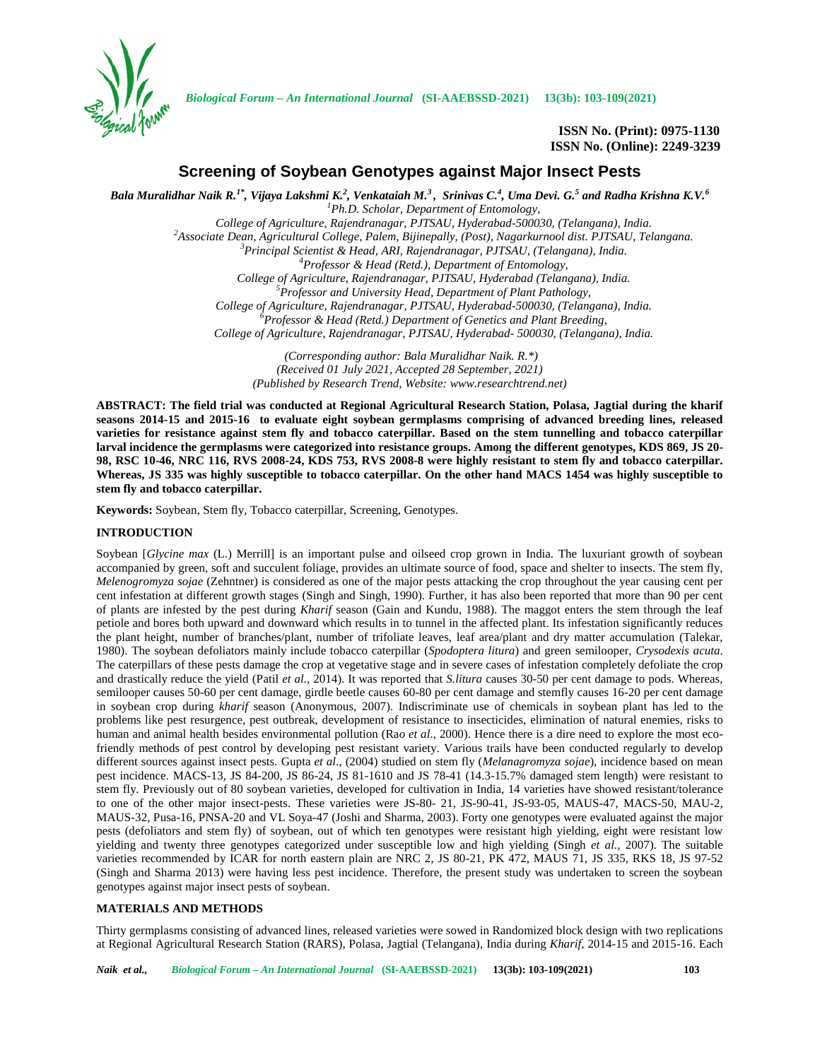

*Biological Forum – An International Journal* **(SI-AAEBSSD-2021) 13(3b): 103-109(2021)**

**ISSN No. (Print): 0975-1130 ISSN No. (Online): 2249-3239**

# **Screening of Soybean Genotypes against Major Insect Pests**

Bala Muralidhar Naik R. $^{1*}$ , Vijaya Lakshmi K. $^2$ , Venkataiah M. $^3$ , Srinivas C. $^4$ , Uma Devi. G. $^5$  and Radha Krishna K.V. $^6$ *<sup>1</sup>Ph.D. Scholar, Department of Entomology,* College of Agriculture, Rajendranagar, PJTSAU, Hyderabad-500030, (Telangana), India.<br><sup>2</sup>Associate Dean, Agricultural College, Palem, Bijinepally, (Post), Nagarkurnool dist. PJTSAU, Telangana.<br><sup>3</sup>Principal Scientist & Head, *College of Agriculture, Rajendranagar, PJTSAU, Hyderabad (Telangana), India. <sup>5</sup>Professor and University Head, Department of Plant Pathology, College of Agriculture, Rajendranagar, PJTSAU, Hyderabad-500030, (Telangana), India. <sup>6</sup>Professor & Head (Retd.) Department of Genetics and Plant Breeding, College of Agriculture, Rajendranagar, PJTSAU, Hyderabad- 500030, (Telangana), India. (Corresponding author: Bala Muralidhar Naik. R.\*)*

*(Received 01 July 2021, Accepted 28 September, 2021) (Published by Research Trend, Website: <www.researchtrend.net>)*

**ABSTRACT: The field trial was conducted at Regional Agricultural Research Station, Polasa, Jagtial during the kharif seasons 2014-15 and 2015-16 to evaluate eight soybean germplasms comprising of advanced breeding lines, released varieties for resistance against stem fly and tobacco caterpillar. Based on the stem tunnelling and tobacco caterpillar larval incidence the germplasms were categorized into resistance groups. Among the different genotypes, KDS 869, JS 20- 98, RSC 10-46, NRC 116, RVS 2008-24, KDS 753, RVS 2008-8 were highly resistant to stem fly and tobacco caterpillar. Whereas, JS 335 was highly susceptible to tobacco caterpillar. On the other hand MACS 1454 was highly susceptible to stem fly and tobacco caterpillar.**

**Keywords:** Soybean, Stem fly, Tobacco caterpillar, Screening, Genotypes.

## **INTRODUCTION**

Soybean [*Glycine max* (L.) Merrill] is an important pulse and oilseed crop grown in India. The luxuriant growth of soybean accompanied by green, soft and succulent foliage, provides an ultimate source of food, space and shelter to insects. The stem fly, *Melenogromyza sojae* (Zehntner) is considered as one of the major pests attacking the crop throughout the year causing cent per cent infestation at different growth stages (Singh and Singh, 1990). Further, it has also been reported that more than 90 per cent of plants are infested by the pest during *Kharif* season (Gain and Kundu, 1988). The maggot enters the stem through the leaf petiole and bores both upward and downward which results in to tunnel in the affected plant. Its infestation significantly reduces the plant height, number of branches/plant, number of trifoliate leaves, leaf area/plant and dry matter accumulation (Talekar, 1980). The soybean defoliators mainly include tobacco caterpillar (*Spodoptera litura*) and green semilooper, *Crysodexis acuta*. The caterpillars of these pests damage the crop at vegetative stage and in severe cases of infestation completely defoliate the crop and drastically reduce the yield (Patil *et al.,* 2014). It was reported that *S.litura* causes 30-50 per cent damage to pods. Whereas, semilooper causes 50-60 per cent damage, girdle beetle causes 60-80 per cent damage and stemfly causes 16-20 per cent damage in soybean crop during *kharif* season (Anonymous, 2007). Indiscriminate use of chemicals in soybean plant has led to the problems like pest resurgence, pest outbreak, development of resistance to insecticides, elimination of natural enemies, risks to human and animal health besides environmental pollution (Rao et al., 2000). Hence there is a dire need to explore the most ecofriendly methods of pest control by developing pest resistant variety. Various trails have been conducted regularly to develop different sources against insect pests. Gupta *et al*., (2004) studied on stem fly (*Melanagromyza sojae*), incidence based on mean pest incidence. MACS-13, JS 84-200, JS 86-24, JS 81-1610 and JS 78-41 (14.3-15.7% damaged stem length) were resistant to stem fly. Previously out of 80 soybean varieties, developed for cultivation in India, 14 varieties have showed resistant/tolerance to one of the other major insect-pests. These varieties were JS-80- 21, JS-90-41, JS-93-05, MAUS-47, MACS-50, MAU-2, MAUS-32, Pusa-16, PNSA-20 and VL Soya-47 (Joshi and Sharma, 2003). Forty one genotypes were evaluated against the major pests (defoliators and stem fly) of soybean, out of which ten genotypes were resistant high yielding, eight were resistant low yielding and twenty three genotypes categorized under susceptible low and high yielding (Singh *et al.,* 2007). The suitable varieties recommended by ICAR for north eastern plain are NRC 2, JS 80-21, PK 472, MAUS 71, JS 335, RKS 18, JS 97-52 (Singh and Sharma 2013) were having less pest incidence. Therefore, the present study was undertaken to screen the soybean genotypes against major insect pests of soybean.

## **MATERIALS AND METHODS**

Thirty germplasms consisting of advanced lines, released varieties were sowed in Randomized block design with two replications at Regional Agricultural Research Station (RARS), Polasa, Jagtial (Telangana), India during *Kharif*, 2014-15 and 2015-16. Each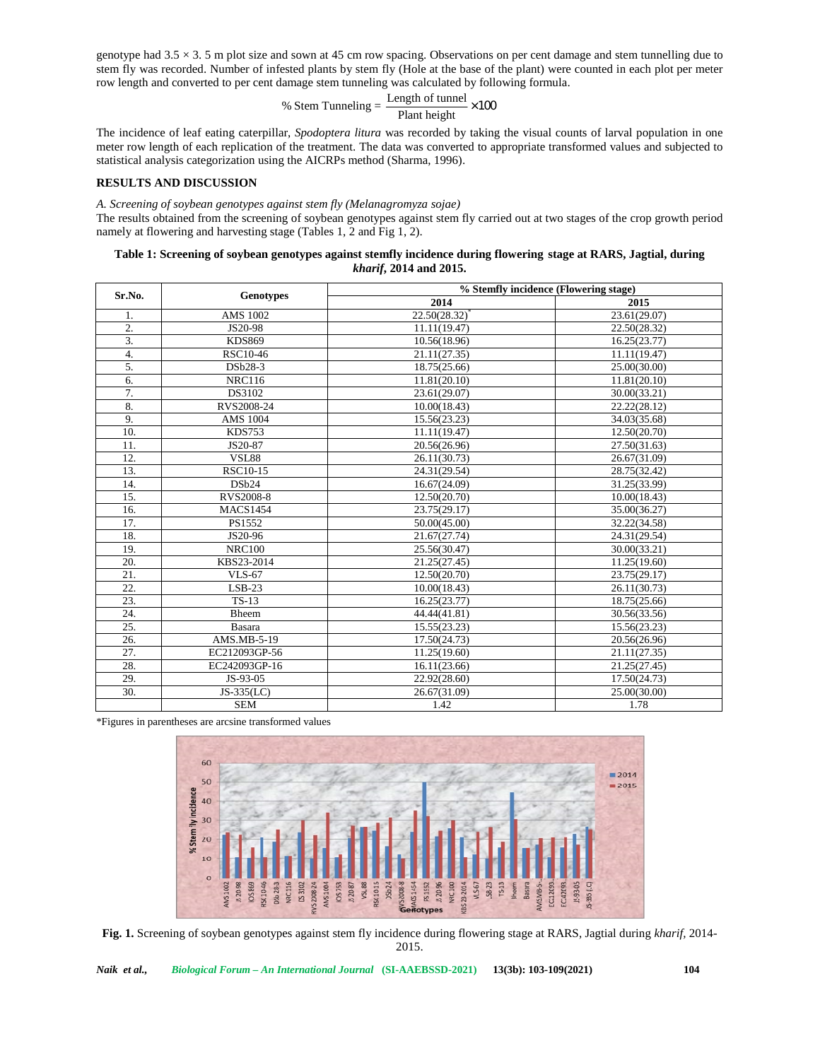genotype had  $3.5 \times 3.5$  m plot size and sown at 45 cm row spacing. Observations on per cent damage and stem tunnelling due to stem fly was recorded. Number of infested plants by stem fly (Hole at the base of the plant) were counted in each plot per meter row length and converted to per cent damage stem tunneling was calculated by following formula.

## Plant height % Stem Tunneling =  $\frac{\text{Length of tunnel}}{\text{X}} \times 100$

d sown at 45 cm row spacing. Observations on per cent damage<br>sted plants by stem fly (Hole at the base of the plant) were cou<br>amage stem tunneling was calculated by following formula.<br>% Stem Tunneling =  $\frac{\text{Length of tunnel}}{\text{Plant height}} \times$ The incidence of leaf eating caterpillar, *Spodoptera litura* was recorded by taking the visual counts of larval population in one meter row length of each replication of the treatment. The data was converted to appropriate transformed values and subjected to statistical analysis categorization using the AICRPs method (Sharma, 1996).

## **RESULTS AND DISCUSSION**

*A. Screening of soybean genotypes against stem fly (Melanagromyza sojae)*

The results obtained from the screening of soybean genotypes against stem fly carried out at two stages of the crop growth period namely at flowering and harvesting stage (Tables 1, 2 and Fig 1, 2).

## **Table 1: Screening of soybean genotypes against stemfly incidence during flowering stage at RARS, Jagtial, during** *kharif***, 2014 and 2015.**

| Sr.No.            | <b>Genotypes</b> | % Stemfly incidence (Flowering stage) |              |
|-------------------|------------------|---------------------------------------|--------------|
|                   |                  | 2014                                  | 2015         |
| 1.                | AMS 1002         | 22.50(28.32)                          | 23.61(29.07) |
| $\overline{2}$ .  | JS20-98          | 11.11(19.47)                          | 22.50(28.32) |
| $\overline{3}$ .  | <b>KDS869</b>    | 10.56(18.96)                          | 16.25(23.77) |
| 4.                | RSC10-46         | 21.11(27.35)                          | 11.11(19.47) |
| 5.                | DSb28-3          | 18.75(25.66)                          | 25.00(30.00) |
| 6.                | <b>NRC116</b>    | 11.81(20.10)                          | 11.81(20.10) |
| 7.                | DS3102           | 23.61(29.07)                          | 30.00(33.21) |
| 8.                | RVS2008-24       | 10.00(18.43)                          | 22.22(28.12) |
| 9.                | <b>AMS 1004</b>  | 15.56(23.23)                          | 34.03(35.68) |
| 10.               | <b>KDS753</b>    | 11.11(19.47)                          | 12.50(20.70) |
| 11.               | JS20-87          | 20.56(26.96)                          | 27.50(31.63) |
| 12.               | VSL88            | 26.11(30.73)                          | 26.67(31.09) |
| 13.               | <b>RSC10-15</b>  | 24.31(29.54)                          | 28.75(32.42) |
| 14.               | DSb24            | 16.67(24.09)                          | 31.25(33.99) |
| 15.               | <b>RVS2008-8</b> | 12.50(20.70)                          | 10.00(18.43) |
| 16.               | <b>MACS1454</b>  | 23.75(29.17)                          | 35.00(36.27) |
| 17.               | PS1552           | 50.00(45.00)                          | 32.22(34.58) |
| 18.               | JS20-96          | 21.67(27.74)                          | 24.31(29.54) |
| 19.               | <b>NRC100</b>    | 25.56(30.47)                          | 30.00(33.21) |
| $\overline{20}$   | KBS23-2014       | 21.25(27.45)                          | 11.25(19.60) |
| 21.               | <b>VLS-67</b>    | 12.50(20.70)                          | 23.75(29.17) |
| 22.               | $LSB-23$         | 10.00(18.43)                          | 26.11(30.73) |
| $\overline{23}$ . | $TS-13$          | 16.25(23.77)                          | 18.75(25.66) |
| 24.               | Bheem            | 44.44(41.81)                          | 30.56(33.56) |
| 25.               | Basara           | 15.55(23.23)                          | 15.56(23.23) |
| 26.               | AMS.MB-5-19      | 17.50(24.73)                          | 20.56(26.96) |
| 27.               | EC212093GP-56    | 11.25(19.60)                          | 21.11(27.35) |
| 28.               | EC242093GP-16    | 16.11(23.66)                          | 21.25(27.45) |
| 29.               | JS-93-05         | 22.92(28.60)                          | 17.50(24.73) |
| 30.               | JS-335(LC)       | 26.67(31.09)                          | 25.00(30.00) |
|                   | <b>SEM</b>       | 1.42                                  | 1.78         |

\*Figures in parentheses are arcsine transformed values



**Fig. 1.** Screening of soybean genotypes against stem fly incidence during flowering stage at RARS, Jagtial during *kharif,* 2014- 2015.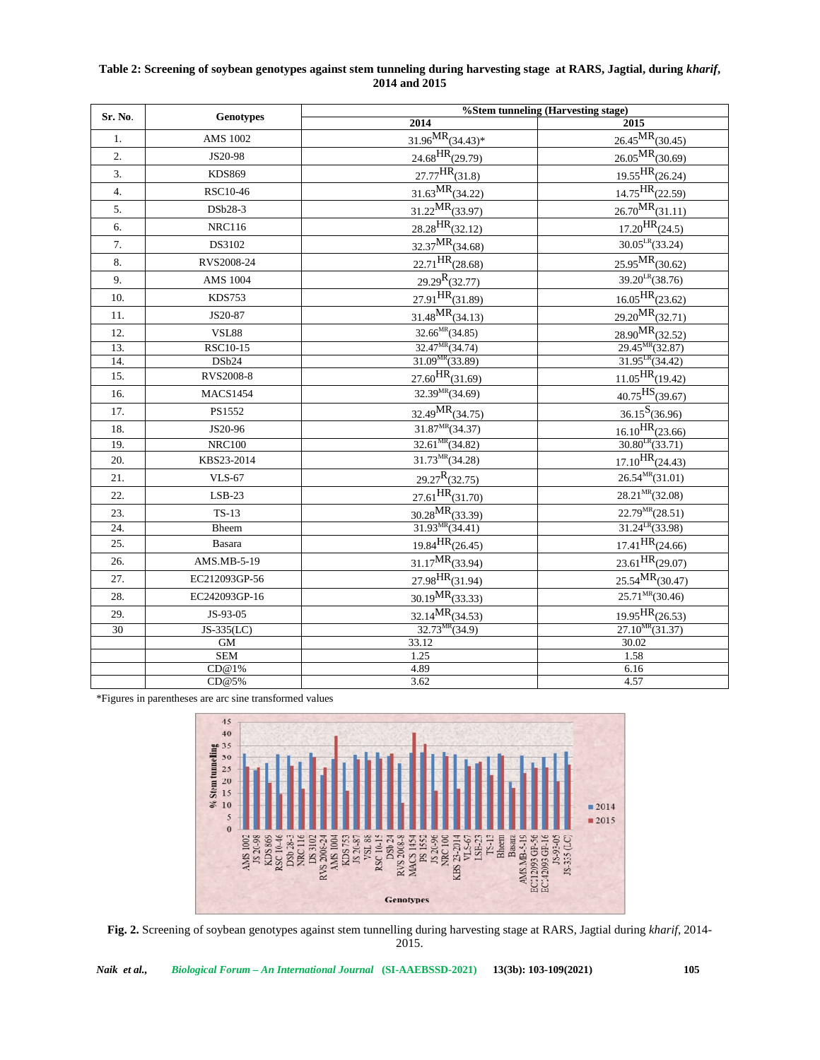## **Table 2: Screening of soybean genotypes against stem tunneling during harvesting stage at RARS, Jagtial, during** *kharif***, 2014 and 2015**

| Sr. No.           | Genotypes       | %Stem tunneling (Harvesting stage)           |                                 |
|-------------------|-----------------|----------------------------------------------|---------------------------------|
|                   |                 | 2014                                         | 2015                            |
| 1.                | <b>AMS 1002</b> | $31.96$ <sup>MR</sup> $(34.43)$ <sup>*</sup> | $26.45$ MR <sub>(30.45)</sub>   |
| 2.                | JS20-98         | $24.68$ HR <sub>(29.79)</sub>                | $26.05$ MR <sub>(30.69)</sub>   |
| $\overline{3}$ .  | <b>KDS869</b>   | $27.77$ <sup>HR</sup> $(31.8)$               | $19.55$ HR <sub>(26.24)</sub>   |
| 4.                | RSC10-46        | $31.63$ <sup>MR</sup> $(34.22)$              | $14.75$ <sup>HR</sup> $(22.59)$ |
| 5.                | DSb28-3         | $31.22$ <sup>MR</sup> $(33.97)$              | $26.70$ MR <sub>(31.11)</sub>   |
| 6.                | <b>NRC116</b>   | $28.28$ <sup>HR</sup> $(32.12)$              | $17.20$ HR $(24.5)$             |
| 7.                | DS3102          | $32.37$ MR <sub>(34.68)</sub>                | $30.05^{\text{LR}}(33.24)$      |
| 8.                | RVS2008-24      | $22.71$ HR <sub>(28.68)</sub>                | $25.95$ MR <sub>(30.62)</sub>   |
| 9.                | <b>AMS 1004</b> | $29.29^{\rm R}(32.77)$                       | $39.20^{LR}$ (38.76)            |
| 10.               | <b>KDS753</b>   | $27.91$ HR <sub>(31.89)</sub>                | $16.05$ HR <sub>(23.62)</sub>   |
| 11.               | JS20-87         | $31.48$ <sup>MR</sup> $(34.13)$              | $29.20^{MR}(32.71)$             |
| 12.               | <b>VSL88</b>    | $32.66^{MR}(34.85)$                          | $28.90$ MR <sub>(32.52)</sub>   |
| $\overline{13}$ . | <b>RSC10-15</b> | 32.47 <sup>MR</sup> (34.74)                  | $29.45^{MR}(32.87)$             |
| 14.               | DSb24           | $31.09^{MR}(33.89)$                          | $31.95^{LR}(34.42)$             |
| 15.               | RVS2008-8       | $27.60$ HR <sub>(31.69)</sub>                | $11.05$ <sup>HR</sup> $(19.42)$ |
| 16.               | <b>MACS1454</b> | $32.39^{MR}(34.69)$                          | $40.75$ <sup>HS</sup> $(39.67)$ |
| 17.               | PS1552          | $\frac{1}{32.49}MR_{(34.75)}$                | $36.15^{\text{S}}(36.96)$       |
| 18.               | JS20-96         | $31.87^{MR}(34.37)$                          | $16.10$ <sup>HR</sup> $(23.66)$ |
| 19.               | <b>NRC100</b>   | $32.61^{MR}(34.82)$                          | $30.80^{LR}(33.71)$             |
| 20.               | KBS23-2014      | $31.73^{MR}(34.28)$                          | $17.10$ <sup>HR</sup> $(24.43)$ |
| 21.               | <b>VLS-67</b>   | $29.27^{\rm R}(32.75)$                       | $26.54^{MR}(31.01)$             |
| 22.               | $LSB-23$        | $27.61$ HR <sub>(31.70)</sub>                | $28.21^{MR}(32.08)$             |
| 23.               | $TS-13$         | $30.28$ <sup>MR</sup> $(33.39)$              | $22.79^{MR}(28.51)$             |
| 24.               | Bheem           | $31.93^{MR}(34.41)$                          | $31.24^{LR}(33.98)$             |
| 25.               | Basara          | $19.84$ HR <sub>(26.45)</sub>                | $17.41$ <sup>HR</sup> $(24.66)$ |
| 26.               | AMS.MB-5-19     | $31.17$ <sup>MR</sup> $(33.94)$              | $23.61$ <sup>HR</sup> $(29.07)$ |
| 27.               | EC212093GP-56   | $27.98$ <sup>HR</sup> $(31.94)$              | 25.54 <sup>MR</sup> (30.47)     |
| 28.               | EC242093GP-16   | $30.19$ <sup>MR</sup> $(33.33)$              | $25.71^{MR}(30.46)$             |
| 29.               | JS-93-05        | 32.14 <sup>MR</sup> (34.53)                  | $19.95$ <sup>HR</sup> $(26.53)$ |
| 30                | $JS-335(LC)$    | $32.73^{MR}(34.9)$                           | $27.10^{MR}(31.37)$             |
|                   | GM              | 33.12                                        | 30.02                           |
|                   | <b>SEM</b>      | 1.25                                         | 1.58                            |
|                   | CD@1%           | 4.89                                         | 6.16                            |
|                   | CD@5%           | 3.62                                         | 4.57                            |

\*Figures in parentheses are arc sine transformed values



**Fig. 2.** Screening of soybean genotypes against stem tunnelling during harvesting stage at RARS, Jagtial during *kharif*, 2014- 2015.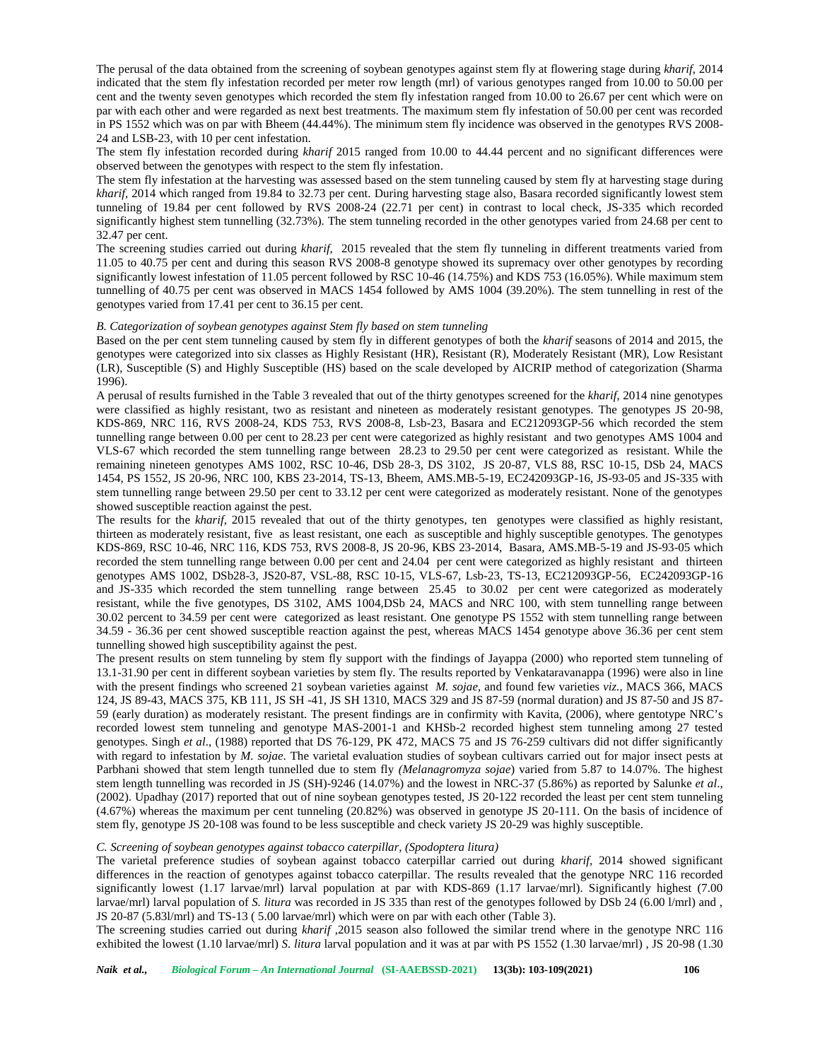The perusal of the data obtained from the screening of soybean genotypes against stem fly at flowering stage during *kharif*, 2014 indicated that the stem fly infestation recorded per meter row length (mrl) of various genotypes ranged from 10.00 to 50.00 per cent and the twenty seven genotypes which recorded the stem fly infestation ranged from 10.00 to 26.67 per cent which were on par with each other and were regarded as next best treatments. The maximum stem fly infestation of 50.00 per cent was recorded in PS 1552 which was on par with Bheem (44.44%). The minimum stem fly incidence was observed in the genotypes RVS 2008- 24 and LSB-23, with 10 per cent infestation.

The stem fly infestation recorded during *kharif* 2015 ranged from 10.00 to 44.44 percent and no significant differences were observed between the genotypes with respect to the stem fly infestation.

The stem fly infestation at the harvesting was assessed based on the stem tunneling caused by stem fly at harvesting stage during *kharif,* 2014 which ranged from 19.84 to 32.73 per cent. During harvesting stage also, Basara recorded significantly lowest stem tunneling of 19.84 per cent followed by RVS 2008-24 (22.71 per cent) in contrast to local check, JS-335 which recorded significantly highest stem tunnelling (32.73%). The stem tunneling recorded in the other genotypes varied from 24.68 per cent to 32.47 per cent.

The screening studies carried out during *kharif,* 2015 revealed that the stem fly tunneling in different treatments varied from 11.05 to 40.75 per cent and during this season RVS 2008-8 genotype showed its supremacy over other genotypes by recording significantly lowest infestation of 11.05 percent followed by RSC 10-46 (14.75%) and KDS 753 (16.05%). While maximum stem tunnelling of 40.75 per cent was observed in MACS 1454 followed by AMS 1004 (39.20%). The stem tunnelling in rest of the genotypes varied from 17.41 per cent to 36.15 per cent.

#### *B. Categorization of soybean genotypes against Stem fly based on stem tunneling*

Based on the per cent stem tunneling caused by stem fly in different genotypes of both the *kharif* seasons of 2014 and 2015, the genotypes were categorized into six classes as Highly Resistant (HR), Resistant (R), Moderately Resistant (MR), Low Resistant (LR), Susceptible (S) and Highly Susceptible (HS) based on the scale developed by AICRIP method of categorization (Sharma 1996).

A perusal of results furnished in the Table 3 revealed that out of the thirty genotypes screened for the *kharif*, 2014 nine genotypes were classified as highly resistant, two as resistant and nineteen as moderately resistant genotypes. The genotypes JS 20-98, KDS-869, NRC 116, RVS 2008-24, KDS 753, RVS 2008-8, Lsb-23, Basara and EC212093GP-56 which recorded the stem tunnelling range between 0.00 per cent to 28.23 per cent were categorized as highly resistant and two genotypes AMS 1004 and VLS-67 which recorded the stem tunnelling range between 28.23 to 29.50 per cent were categorized as resistant. While the remaining nineteen genotypes AMS 1002, RSC 10-46, DSb 28-3, DS 3102, JS 20-87, VLS 88, RSC 10-15, DSb 24, MACS 1454, PS 1552, JS 20-96, NRC 100, KBS 23-2014, TS-13, Bheem, AMS.MB-5-19, EC242093GP-16, JS-93-05 and JS-335 with stem tunnelling range between 29.50 per cent to 33.12 per cent were categorized as moderately resistant. None of the genotypes showed susceptible reaction against the pest.

The results for the *kharif*, 2015 revealed that out of the thirty genotypes, ten genotypes were classified as highly resistant, thirteen as moderately resistant, five as least resistant, one each as susceptible and highly susceptible genotypes. The genotypes KDS-869, RSC 10-46, NRC 116, KDS 753, RVS 2008-8, JS 20-96, KBS 23-2014, Basara, AMS.MB-5-19 and JS-93-05 which recorded the stem tunnelling range between 0.00 per cent and 24.04 per cent were categorized as highly resistant and thirteen genotypes AMS 1002, DSb28-3, JS20-87, VSL-88, RSC 10-15, VLS-67, Lsb-23, TS-13, EC212093GP-56, EC242093GP-16 and JS-335 which recorded the stem tunnelling range between 25.45 to 30.02 per cent were categorized as moderately resistant, while the five genotypes, DS 3102, AMS 1004,DSb 24, MACS and NRC 100, with stem tunnelling range between 30.02 percent to 34.59 per cent were categorized as least resistant. One genotype PS 1552 with stem tunnelling range between 34.59 - 36.36 per cent showed susceptible reaction against the pest, whereas MACS 1454 genotype above 36.36 per cent stem tunnelling showed high susceptibility against the pest.

The present results on stem tunneling by stem fly support with the findings of Jayappa (2000) who reported stem tunneling of 13.1-31.90 per cent in different soybean varieties by stem fly. The results reported by Venkataravanappa (1996) were also in line with the present findings who screened 21 soybean varieties against *M. sojae,* and found few varieties *viz.,* MACS 366, MACS 124, JS 89-43, MACS 375, KB 111, JS SH -41, JS SH 1310, MACS 329 and JS 87-59 (normal duration) and JS 87-50 and JS 87- 59 (early duration) as moderately resistant. The present findings are in confirmity with Kavita, (2006), where gentotype NRC's recorded lowest stem tunneling and genotype MAS-2001-1 and KHSb-2 recorded highest stem tunneling among 27 tested genotypes. Singh *et al*., (1988) reported that DS 76-129, PK 472, MACS 75 and JS 76-259 cultivars did not differ significantly with regard to infestation by *M. sojae*. The varietal evaluation studies of soybean cultivars carried out for major insect pests at Parbhani showed that stem length tunnelled due to stem fly *(Melanagromyza sojae*) varied from 5.87 to 14.07%. The highest stem length tunnelling was recorded in JS (SH)-9246 (14.07%) and the lowest in NRC-37 (5.86%) as reported by Salunke *et al*., (2002). Upadhay (2017) reported that out of nine soybean genotypes tested, JS 20-122 recorded the least per cent stem tunneling (4.67%) whereas the maximum per cent tunneling (20.82%) was observed in genotype JS 20-111. On the basis of incidence of stem fly, genotype JS 20-108 was found to be less susceptible and check variety JS 20-29 was highly susceptible.

#### *C. Screening of soybean genotypes against tobacco caterpillar, (Spodoptera litura)*

The varietal preference studies of soybean against tobacco caterpillar carried out during *kharif,* 2014 showed significant differences in the reaction of genotypes against tobacco caterpillar. The results revealed that the genotype NRC 116 recorded significantly lowest (1.17 larvae/mrl) larval population at par with KDS-869 (1.17 larvae/mrl). Significantly highest (7.00 larvae/mrl) larval population of *S. litura* was recorded in JS 335 than rest of the genotypes followed by DSb 24 (6.00 l/mrl) and, JS 20-87 (5.83l/mrl) and TS-13 ( 5.00 larvae/mrl) which were on par with each other (Table 3).

The screening studies carried out during *kharif* ,2015 season also followed the similar trend where in the genotype NRC 116 exhibited the lowest (1.10 larvae/mrl) *S. litura* larval population and it was at par with PS 1552 (1.30 larvae/mrl) , JS 20-98 (1.30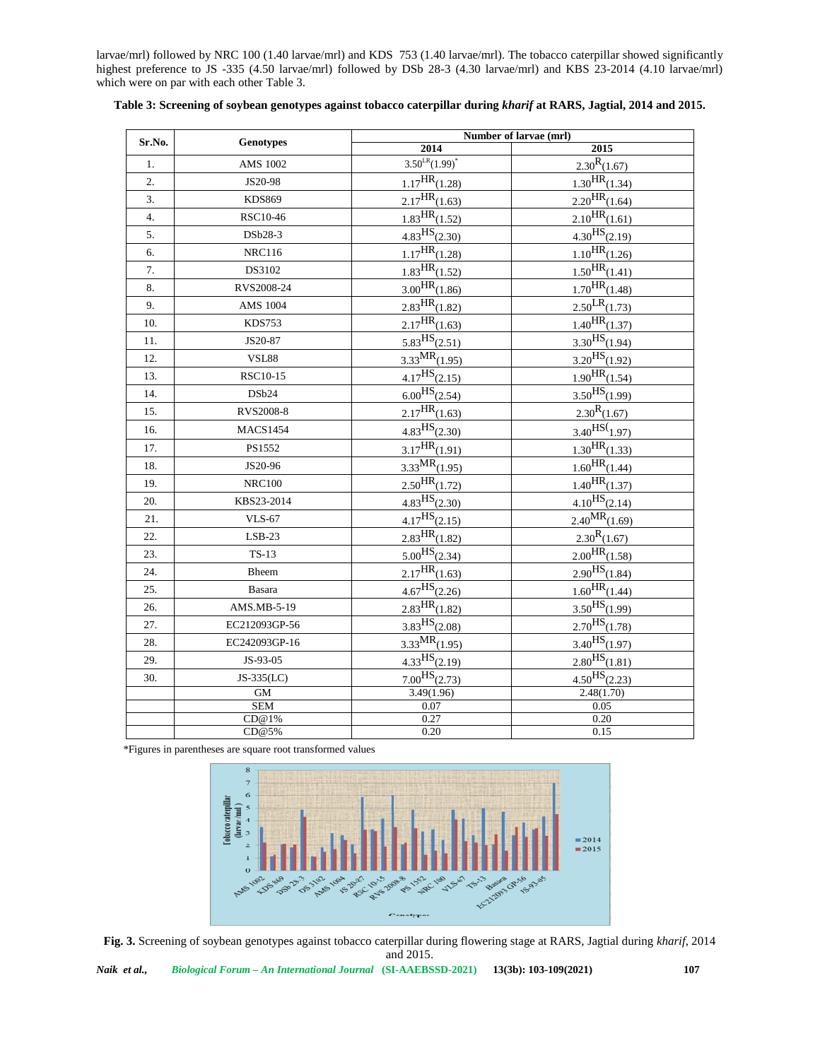larvae/mrl) followed by NRC 100 (1.40 larvae/mrl) and KDS 753 (1.40 larvae/mrl). The tobacco caterpillar showed significantly highest preference to JS -335 (4.50 larvae/mrl) followed by DSb 28-3 (4.30 larvae/mrl) and KBS 23-2014 (4.10 larvae/mrl) which were on par with each other Table 3.

| Sr.No.           | <b>Genotypes</b> | Number of larvae (mrl)                 |                                        |
|------------------|------------------|----------------------------------------|----------------------------------------|
|                  |                  | $\sqrt{2014}$                          | 2015                                   |
| $1.$             | <b>AMS 1002</b>  | $3.50^{LR}(1.99)^*$                    | $2.30^{R}(1.67)$                       |
| 2.               | JS20-98          | $1.17$ <sup>HR</sup> $(1.28)$          | $1.30$ <sup>HR</sup> $(1.34)$          |
| 3.               | <b>KDS869</b>    | $2.17$ HR <sub>(1.63)</sub>            | $2.20$ <sup>HR</sup> $(1.64)$          |
| $\overline{4}$ . | RSC10-46         | $1.83$ <sup>HR</sup> $(1.52)$          | $2.10$ HR <sub>(1.61)</sub>            |
| 5.               | DSb28-3          | $4.83$ <sup>HS</sup> $(2.30)$          | $4.30$ <sup>HS</sup> $(2.19)$          |
| 6.               | <b>NRC116</b>    | $1.17$ <sup>HR</sup> $(1.28)$          | $1.10$ HR <sub>(1.26)</sub>            |
| 7.               | DS3102           | $1.83$ HR <sub>(1.52)</sub>            | $\overline{1.50}$ HR <sub>(1.41)</sub> |
| 8.               | RVS2008-24       | $3.00$ HR <sub>(1.86)</sub>            | $1.70$ HR <sub>(1.48)</sub>            |
| 9.               | <b>AMS 1004</b>  | $2.83$ <sup>HR</sup> $(1.82)$          | $2.50$ <sup>LR</sup> $(1.73)$          |
| 10.              | <b>KDS753</b>    | $2.17$ HR <sub>(1.63)</sub>            | $1.40$ HR $(1.37)$                     |
| 11.              | JS20-87          | $5.83$ <sup>HS</sup> $(2.51)$          | $3.30$ <sup>HS</sup> $(1.94)$          |
| 12.              | <b>VSL88</b>     | $3.33$ MR <sub>(1.95)</sub>            | $3.20$ <sup>HS</sup> $(1.92)$          |
| 13.              | RSC10-15         | $4.17$ <sup>HS</sup> $(2.15)$          | $1.90$ HR $(1.54)$                     |
| 14.              | DSb24            | $6.00$ <sup>HS</sup> $(2.54)$          | $3.50$ HS(1.99)                        |
| 15.              | RVS2008-8        | $2.17$ <sup>HR</sup> $(1.63)$          | $2.30^{R}(1.67)$                       |
| 16.              | <b>MACS1454</b>  | $4.83$ <sup>HS</sup> $(2.30)$          | $3.40$ HS $(1.97)$                     |
| 17.              | PS1552           | $3.17$ HR <sub>(1.91)</sub>            | $1.30$ HR <sub>(1.33)</sub>            |
| 18.              | JS20-96          | $3.33$ MR <sub>(1.95)</sub>            | $1.60$ HR <sub>(1.44)</sub>            |
| 19.              | <b>NRC100</b>    | $2.50$ HR <sub>(1.72)</sub>            | $1.40$ <sup>HR</sup> $(1.37)$          |
| 20.              | KBS23-2014       | $4.83$ <sup>HS</sup> $(2.30)$          | $4.10$ <sup>HS</sup> $(2.14)$          |
| 21.              | <b>VLS-67</b>    | $4.17$ <sup>HS</sup> $(2.15)$          | $2.40^{MR}(1.69)$                      |
| 22.              | $LSB-23$         | $2.83$ HR <sub>(1.82)</sub>            | $2.30^{R}(1.67)$                       |
| 23.              | $TS-13$          | $5.00$ <sup>HS</sup> $(2.34)$          | $2.00$ <sup>HR</sup> $(1.58)$          |
| 24.              | Bheem            | $2.17$ <sup>HR</sup> $(1.63)$          | $2.90$ <sup>HS</sup> $(1.84)$          |
| 25.              | Basara           | $4.67$ <sup>HS</sup> $(2.26)$          | $1.60$ HR $(1.44)$                     |
| 26.              | AMS.MB-5-19      | $2.83$ HR <sub>(1.82)</sub>            | $3.50$ HS $(1.99)$                     |
| 27.              | EC212093GP-56    | $3.83$ <sup>HS</sup> $(2.08)$          | $2.70$ <sup>HS</sup> $(1.78)$          |
| 28.              | EC242093GP-16    | $3.33$ MR <sub>(1.95)</sub>            | $3.40$ <sup>HS</sup> $(1.97)$          |
| 29.              | JS-93-05         | $\overline{4.33}$ HS <sub>(2.19)</sub> | $2.80$ <sup>HS</sup> $(1.81)$          |
| 30.              | JS-335(LC)       | $7.00$ HS <sub>(2.73)</sub>            | $4.50$ HS(2.23)                        |
|                  | GM               | 3.49(1.96)                             | 2.48(1.70)                             |
|                  | <b>SEM</b>       | 0.07                                   | 0.05                                   |
|                  | CD@1%            | 0.27                                   | 0.20                                   |
|                  | CD@5%            | 0.20                                   | 0.15                                   |

### **Table 3: Screening of soybean genotypes against tobacco caterpillar during** *kharif* **at RARS, Jagtial, 2014 and 2015.**

\*Figures in parentheses are square root transformed values



**Fig. 3.** Screening of soybean genotypes against tobacco caterpillar during flowering stage at RARS, Jagtial during *kharif*, 2014 and 2015.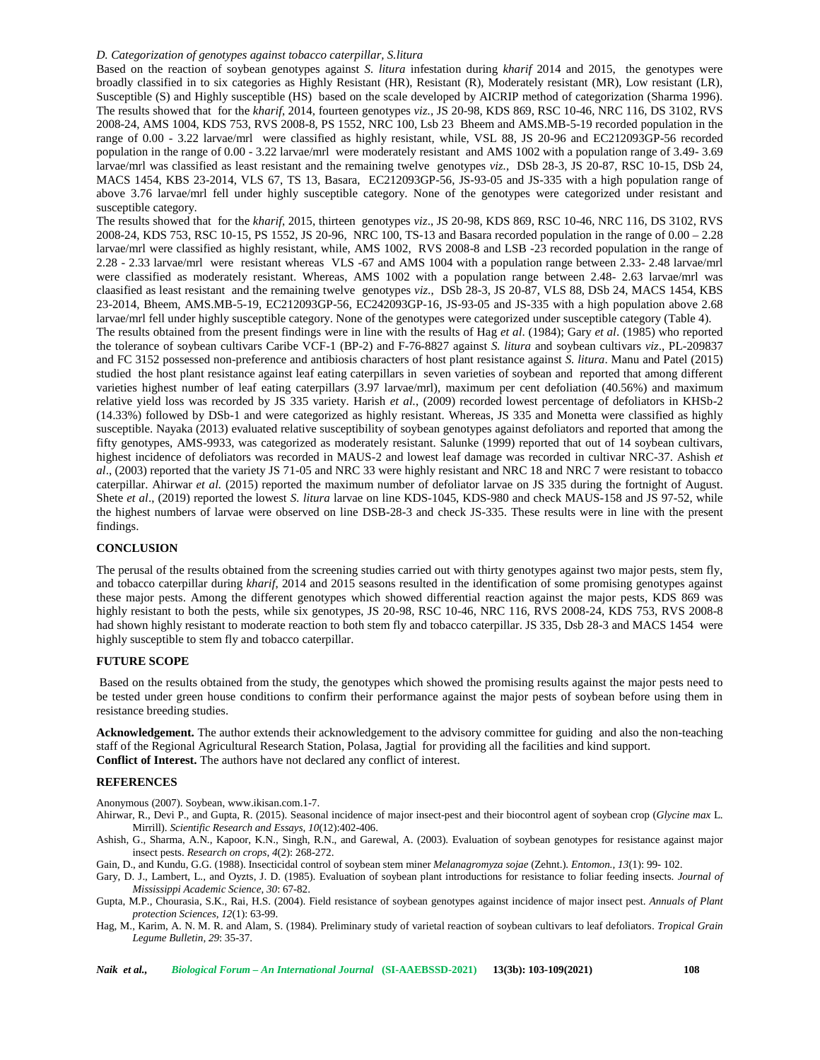#### *D. Categorization of genotypes against tobacco caterpillar, S.litura*

Based on the reaction of soybean genotypes against *S. litura* infestation during *kharif* 2014 and 2015, the genotypes were broadly classified in to six categories as Highly Resistant (HR), Resistant (R), Moderately resistant (MR), Low resistant (LR), Susceptible (S) and Highly susceptible (HS) based on the scale developed by AICRIP method of categorization (Sharma 1996). The results showed that for the *kharif*, 2014, fourteen genotypes *viz.,* JS 20-98, KDS 869, RSC 10-46, NRC 116, DS 3102, RVS 2008-24, AMS 1004, KDS 753, RVS 2008-8, PS 1552, NRC 100, Lsb 23 Bheem and AMS.MB-5-19 recorded population in the range of 0.00 - 3.22 larvae/mrl were classified as highly resistant, while, VSL 88, JS 20-96 and EC212093GP-56 recorded population in the range of 0.00 - 3.22 larvae/mrl were moderately resistant and AMS 1002 with a population range of 3.49- 3.69 larvae/mrl was classified as least resistant and the remaining twelve genotypes *viz.,* DSb 28-3, JS 20-87, RSC 10-15, DSb 24, MACS 1454, KBS 23-2014, VLS 67, TS 13, Basara, EC212093GP-56, JS-93-05 and JS-335 with a high population range of above 3.76 larvae/mrl fell under highly susceptible category. None of the genotypes were categorized under resistant and susceptible category.

The results showed that for the *kharif*, 2015, thirteen genotypes *viz*., JS 20-98, KDS 869, RSC 10-46, NRC 116, DS 3102, RVS 2008-24, KDS 753, RSC 10-15, PS 1552, JS 20-96, NRC 100, TS-13 and Basara recorded population in the range of 0.00 – 2.28 larvae/mrl were classified as highly resistant, while, AMS 1002, RVS 2008-8 and LSB -23 recorded population in the range of 2.28 - 2.33 larvae/mrl were resistant whereas VLS -67 and AMS 1004 with a population range between 2.33- 2.48 larvae/mrl were classified as moderately resistant. Whereas, AMS 1002 with a population range between 2.48- 2.63 larvae/mrl was claasified as least resistant and the remaining twelve genotypes *viz*., DSb 28-3, JS 20-87, VLS 88, DSb 24, MACS 1454, KBS 23-2014, Bheem, AMS.MB-5-19, EC212093GP-56, EC242093GP-16, JS-93-05 and JS-335 with a high population above 2.68 larvae/mrl fell under highly susceptible category. None of the genotypes were categorized under susceptible category (Table 4). The results obtained from the present findings were in line with the results of Hag *et al*. (1984); Gary *et al*. (1985) who reported the tolerance of soybean cultivars Caribe VCF-1 (BP-2) and F-76-8827 against *S. litura* and soybean cultivars *viz*., PL-209837 and FC 3152 possessed non-preference and antibiosis characters of host plant resistance against *S. litura*. Manu and Patel (2015) studied the host plant resistance against leaf eating caterpillars in seven varieties of soybean and reported that among different varieties highest number of leaf eating caterpillars (3.97 larvae/mrl), maximum per cent defoliation (40.56%) and maximum relative yield loss was recorded by JS 335 variety. Harish *et al.*, (2009) recorded lowest percentage of defoliators in KHSb-2 (14.33%) followed by DSb-1 and were categorized as highly resistant. Whereas, JS 335 and Monetta were classified as highly susceptible. Nayaka (2013) evaluated relative susceptibility of soybean genotypes against defoliators and reported that among the fifty genotypes, AMS-9933, was categorized as moderately resistant. Salunke (1999) reported that out of 14 soybean cultivars, highest incidence of defoliators was recorded in MAUS-2 and lowest leaf damage was recorded in cultivar NRC-37. Ashish *et al*., (2003) reported that the variety JS 71-05 and NRC 33 were highly resistant and NRC 18 and NRC 7 were resistant to tobacco caterpillar. Ahirwar *et al.* (2015) reported the maximum number of defoliator larvae on JS 335 during the fortnight of August. Shete *et al*., (2019) reported the lowest *S. litura* larvae on line KDS-1045, KDS-980 and check MAUS-158 and JS 97-52, while the highest numbers of larvae were observed on line DSB-28-3 and check JS-335. These results were in line with the present findings.

#### **CONCLUSION**

The perusal of the results obtained from the screening studies carried out with thirty genotypes against two major pests, stem fly, and tobacco caterpillar during *kharif*, 2014 and 2015 seasons resulted in the identification of some promising genotypes against these major pests. Among the different genotypes which showed differential reaction against the major pests, KDS 869 was highly resistant to both the pests, while six genotypes, JS 20-98, RSC 10-46, NRC 116, RVS 2008-24, KDS 753, RVS 2008-8 had shown highly resistant to moderate reaction to both stem fly and tobacco caterpillar. JS 335, Dsb 28-3 and MACS 1454 were highly susceptible to stem fly and tobacco caterpillar.

## **FUTURE SCOPE**

Based on the results obtained from the study, the genotypes which showed the promising results against the major pests need to be tested under green house conditions to confirm their performance against the major pests of soybean before using them in resistance breeding studies.

**Acknowledgement.** The author extends their acknowledgement to the advisory committee for guiding and also the non-teaching staff of the Regional Agricultural Research Station, Polasa, Jagtial for providing all the facilities and kind support. **Conflict of Interest.** The authors have not declared any conflict of interest.

#### **REFERENCES**

Anonymous (2007). Soybean, [www.ikisan.com.1-7.](www.ikisan.com.1-7)

- Ahirwar, R., Devi P., and Gupta, R. (2015). Seasonal incidence of major insect-pest and their biocontrol agent of soybean crop (*Glycine max* L. Mirrill). *Scientific Research and Essays*, *10*(12):402-406.
- Ashish, G., Sharma, A.N., Kapoor, K.N., Singh, R.N., and Garewal, A. (2003). Evaluation of soybean genotypes for resistance against major insect pests. *Research on crops*, *4*(2): 268-272.

Gain, D., and Kundu, G.G. (1988). Insecticidal control of soybean stem miner *Melanagromyza sojae* (Zehnt.). *Entomon., 13*(1): 99- 102.

Gary, D. J., Lambert, L., and Oyzts, J. D. (1985). Evaluation of soybean plant introductions for resistance to foliar feeding insects. *Journal of Mississippi Academic Science*, *30*: 67-82.

Gupta, M.P., Chourasia, S.K., Rai, H.S. (2004). Field resistance of soybean genotypes against incidence of major insect pest. *Annuals of Plant protection Sciences*, *12*(1): 63-99.

Hag, M., Karim, A. N. M. R. and Alam, S. (1984). Preliminary study of varietal reaction of soybean cultivars to leaf defoliators. *Tropical Grain Legume Bulletin, 29*: 35-37.